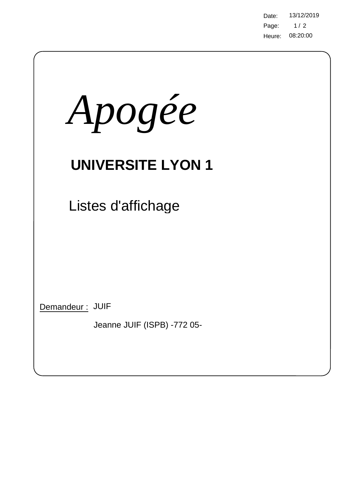Page: 08:20:00 Heure: Date: 13/12/2019  $1/2$ 

| Apogée                                         |
|------------------------------------------------|
| <b>UNIVERSITE LYON 1</b>                       |
| Listes d'affichage                             |
|                                                |
|                                                |
| Demandeur: JUIF<br>Jeanne JUIF (ISPB) -772 05- |